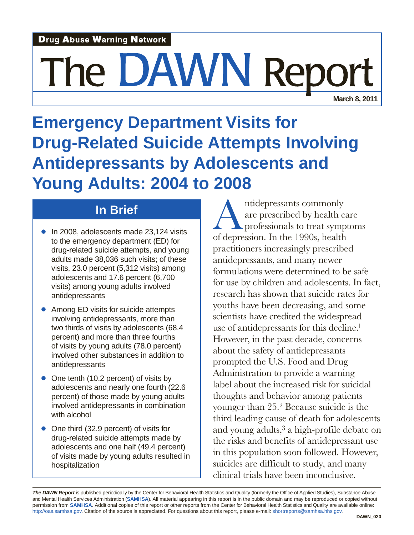## **Drug Abuse Warning Network**

# The DAWN Rep

**March 8, 2011**

**Emergency Department Visits for Drug-Related Suicide Attempts Involving Antidepressants by Adolescents and Young Adults: 2004 to 2008**

## **In Brief**

- In 2008, adolescents made 23,124 visits to the emergency department (ED) for drug-related suicide attempts, and young adults made 38,036 such visits; of these visits, 23.0 percent (5,312 visits) among adolescents and 17.6 percent (6,700 visits) among young adults involved antidepressants
- Among ED visits for suicide attempts involving antidepressants, more than two thirds of visits by adolescents (68.4 percent) and more than three fourths of visits by young adults (78.0 percent) involved other substances in addition to antidepressants
- One tenth (10.2 percent) of visits by adolescents and nearly one fourth (22.6 percent) of those made by young adults involved antidepressants in combination with alcohol
- One third (32.9 percent) of visits for drug-related suicide attempts made by adolescents and one half (49.4 percent) of visits made by young adults resulted in hospitalization

Antidepressants commonly are prescribed by health care professionals to treat symptoms of depression. In the 1990s, health practitioners increasingly prescribed antidepressants, and many newer formulations were determined to be safe for use by children and adolescents. In fact, research has shown that suicide rates for youths have been decreasing, and some scientists have credited the widespread use of antidepressants for this decline.1 However, in the past decade, concerns about the safety of antidepressants prompted the U.S. Food and Drug Administration to provide a warning label about the increased risk for suicidal thoughts and behavior among patients younger than 25.2 Because suicide is the third leading cause of death for adolescents and young adults,3 a high-profile debate on the risks and benefits of antidepressant use in this population soon followed. However, suicides are difficult to study, and many clinical trials have been inconclusive.

**The DAWN Report** is published periodically by the Center for Behavioral Health Statistics and Quality (formerly the Office of Applied Studies), Substance Abuse and Mental Health Services Administration (**SAMHSA**). All material appearing in this report is in the public domain and may be reproduced or copied without permission from **SAMHSA**. Additional copies of this report or other reports from the Center for Behavioral Health Statistics and Quality are available online: http://oas.samhsa.gov. Citation of the source is appreciated. For questions about this report, please e-mail: shortreports@samhsa.hhs.gov.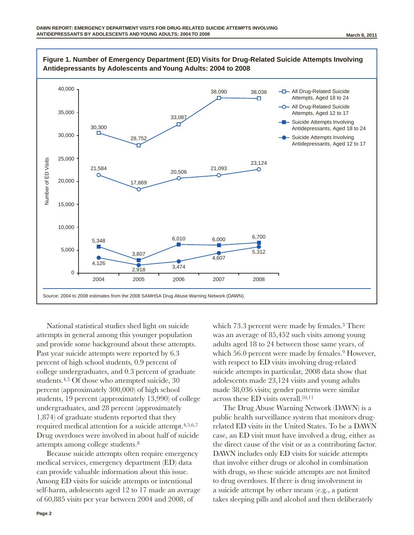

National statistical studies shed light on suicide attempts in general among this younger population and provide some background about these attempts. Past year suicide attempts were reported by 6.3 percent of high school students, 0.9 percent of college undergraduates, and 0.3 percent of graduate students.<sup>4,5</sup> Of those who attempted suicide, 30 percent (approximately 300,000) of high school students, 19 percent (approximately 13,990) of college undergraduates, and 28 percent (approximately 1,874) of graduate students reported that they required medical attention for a suicide attempt.4,5,6,7 Drug overdoses were involved in about half of suicide attempts among college students.8

Because suicide attempts often require emergency medical services, emergency department (ED) data can provide valuable information about this issue. Among ED visits for suicide attempts or intentional self-harm, adolescents aged 12 to 17 made an average of 60,885 visits per year between 2004 and 2008, of

which 73.3 percent were made by females.<sup>3</sup> There was an average of 85,452 such visits among young adults aged 18 to 24 between those same years, of which 56.0 percent were made by females.<sup>9</sup> However, with respect to ED visits involving drug-related suicide attempts in particular, 2008 data show that adolescents made 23,124 visits and young adults made 38,036 visits; gender patterns were similar across these ED visits overall.10,11

The Drug Abuse Warning Network (DAWN) is a public health surveillance system that monitors drugrelated ED visits in the United States. To be a DAWN case, an ED visit must have involved a drug, either as the direct cause of the visit or as a contributing factor. DAWN includes only ED visits for suicide attempts that involve either drugs or alcohol in combination with drugs, so these suicide attempts are not limited to drug overdoses. If there is drug involvement in a suicide attempt by other means (e.g., a patient takes sleeping pills and alcohol and then deliberately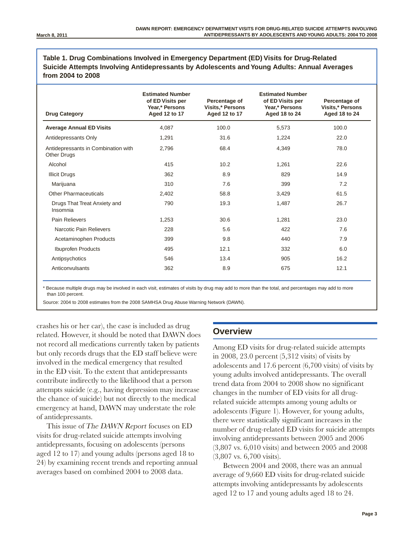**Table 1. Drug Combinations Involved in Emergency Department (ED) Visits for Drug-Related Suicide Attempts Involving Antidepressants by Adolescents and Young Adults: Annual Averages from 2004 to 2008**

| <b>Drug Category</b>                                      | <b>Estimated Number</b><br>of ED Visits per<br>Year,* Persons<br>Aged 12 to 17 | Percentage of<br><b>Visits,* Persons</b><br>Aged 12 to 17 | <b>Estimated Number</b><br>of ED Visits per<br>Year,* Persons<br>Aged 18 to 24 | Percentage of<br><b>Visits,* Persons</b><br>Aged 18 to 24 |
|-----------------------------------------------------------|--------------------------------------------------------------------------------|-----------------------------------------------------------|--------------------------------------------------------------------------------|-----------------------------------------------------------|
| <b>Average Annual ED Visits</b>                           | 4,087                                                                          | 100.0                                                     | 5,573                                                                          | 100.0                                                     |
| Antidepressants Only                                      | 1,291                                                                          | 31.6                                                      | 1,224                                                                          | 22.0                                                      |
| Antidepressants in Combination with<br><b>Other Drugs</b> | 2.796                                                                          | 68.4                                                      | 4,349                                                                          | 78.0                                                      |
| Alcohol                                                   | 415                                                                            | 10.2                                                      | 1,261                                                                          | 22.6                                                      |
| <b>Illicit Drugs</b>                                      | 362                                                                            | 8.9                                                       | 829                                                                            | 14.9                                                      |
| Marijuana                                                 | 310                                                                            | 7.6                                                       | 399                                                                            | 7.2                                                       |
| <b>Other Pharmaceuticals</b>                              | 2,402                                                                          | 58.8                                                      | 3,429                                                                          | 61.5                                                      |
| Drugs That Treat Anxiety and<br>Insomnia                  | 790                                                                            | 19.3                                                      | 1,487                                                                          | 26.7                                                      |
| Pain Relievers                                            | 1,253                                                                          | 30.6                                                      | 1,281                                                                          | 23.0                                                      |
| Narcotic Pain Relievers                                   | 228                                                                            | 5.6                                                       | 422                                                                            | 7.6                                                       |
| Acetaminophen Products                                    | 399                                                                            | 9.8                                                       | 440                                                                            | 7.9                                                       |
| <b>Ibuprofen Products</b>                                 | 495                                                                            | 12.1                                                      | 332                                                                            | 6.0                                                       |
| Antipsychotics                                            | 546                                                                            | 13.4                                                      | 905                                                                            | 16.2                                                      |
| Anticonvulsants                                           | 362                                                                            | 8.9                                                       | 675                                                                            | 12.1                                                      |

\* Because multiple drugs may be involved in each visit, estimates of visits by drug may add to more than the total, and percentages may add to more than 100 percent.

Source: 2004 to 2008 estimates from the 2008 SAMHSA Drug Abuse Warning Network (DAWN).

crashes his or her car), the case is included as drug related. However, it should be noted that DAWN does not record all medications currently taken by patients but only records drugs that the ED staff believe were involved in the medical emergency that resulted in the ED visit. To the extent that antidepressants contribute indirectly to the likelihood that a person attempts suicide (e.g., having depression may increase the chance of suicide) but not directly to the medical emergency at hand, DAWN may understate the role of antidepressants.

This issue of The DAWN Report focuses on ED visits for drug-related suicide attempts involving antidepressants, focusing on adolescents (persons aged 12 to 17) and young adults (persons aged 18 to 24) by examining recent trends and reporting annual averages based on combined 2004 to 2008 data.

#### **Overview**

Among ED visits for drug-related suicide attempts in 2008, 23.0 percent (5,312 visits) of visits by adolescents and 17.6 percent (6,700 visits) of visits by young adults involved antidepressants. The overall trend data from 2004 to 2008 show no significant changes in the number of ED visits for all drugrelated suicide attempts among young adults or adolescents (Figure 1). However, for young adults, there were statistically significant increases in the number of drug-related ED visits for suicide attempts involving antidepressants between 2005 and 2006 (3,807 vs. 6,010 visits) and between 2005 and 2008 (3,807 vs. 6,700 visits).

Between 2004 and 2008, there was an annual average of 9,660 ED visits for drug-related suicide attempts involving antidepressants by adolescents aged 12 to 17 and young adults aged 18 to 24.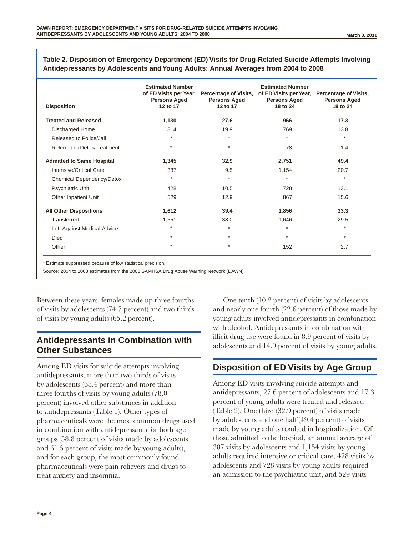| <b>Disposition</b>               | <b>Estimated Number</b><br>of ED Visits per Year,<br><b>Persons Aged</b><br>12 to 17 | <b>Percentage of Visits,</b><br><b>Persons Aged</b><br>12 to 17 | <b>Estimated Number</b><br>of ED Visits per Year,<br><b>Persons Aged</b><br>18 to 24 | <b>Percentage of Visits,</b><br><b>Persons Aged</b><br>18 to 24 |
|----------------------------------|--------------------------------------------------------------------------------------|-----------------------------------------------------------------|--------------------------------------------------------------------------------------|-----------------------------------------------------------------|
| <b>Treated and Released</b>      | 1,130                                                                                | 27.6                                                            | 966                                                                                  | 17.3                                                            |
| Discharged Home                  | 814                                                                                  | 19.9                                                            | 769                                                                                  | 13.8                                                            |
| Released to Police/Jail          | $\star$                                                                              | $\star$                                                         | $\star$                                                                              | $\star$                                                         |
| Referred to Detox/Treatment      | $\star$                                                                              | $\star$                                                         | 78                                                                                   | 1.4                                                             |
| <b>Admitted to Same Hospital</b> | 1,345                                                                                | 32.9                                                            | 2,751                                                                                | 49.4                                                            |
| Intensive/Critical Care          | 387                                                                                  | 9.5                                                             | 1,154                                                                                | 20.7                                                            |
| Chemical Dependency/Detox        | $\star$                                                                              | $\star$                                                         | $\star$                                                                              | $\star$                                                         |
| Psychiatric Unit                 | 428                                                                                  | 10.5                                                            | 728                                                                                  | 13.1                                                            |
| Other Inpatient Unit             | 529                                                                                  | 12.9                                                            | 867                                                                                  | 15.6                                                            |
| <b>All Other Dispositions</b>    | 1,612                                                                                | 39.4                                                            | 1,856                                                                                | 33.3                                                            |
| <b>Transferred</b>               | 1,551                                                                                | 38.0                                                            | 1,646                                                                                | 29.5                                                            |
| Left Against Medical Advice      | $\star$                                                                              | $\star$                                                         | $\star$                                                                              | $\star$                                                         |
| Died                             | $\star$                                                                              | $\star$                                                         | $\star$                                                                              | $\star$                                                         |
| Other                            | $\star$                                                                              | $\star$                                                         | 152                                                                                  | 2.7                                                             |

**Table 2. Disposition of Emergency Department (ED) Visits for Drug-Related Suicide Attempts Involving Antidepressants by Adolescents and Young Adults: Annual Averages from 2004 to 2008**

\* Estimate suppressed because of low statistical precision.

Source: 2004 to 2008 estimates from the 2008 SAMHSA Drug Abuse Warning Network (DAWN).

Between these years, females made up three fourths of visits by adolescents (74.7 percent) and two thirds of visits by young adults (65.2 percent).

### **Antidepressants in combination with Other Substances**

Among ED visits for suicide attempts involving antidepressants, more than two thirds of visits by adolescents (68.4 percent) and more than three fourths of visits by young adults (78.0 percent) involved other substances in addition to antidepressants (Table 1). Other types of pharmaceuticals were the most common drugs used in combination with antidepressants for both age groups (58.8 percent of visits made by adolescents and 61.5 percent of visits made by young adults), and for each group, the most commonly found pharmaceuticals were pain relievers and drugs to treat anxiety and insomnia.

One tenth (10.2 percent) of visits by adolescents and nearly one fourth (22.6 percent) of those made by young adults involved antidepressants in combination with alcohol. Antidepressants in combination with illicit drug use were found in 8.9 percent of visits by adolescents and 14.9 percent of visits by young adults.

### **Disposition of ED Visits by Age group**

Among ED visits involving suicide attempts and antidepressants, 27.6 percent of adolescents and 17.3 percent of young adults were treated and released (Table 2). One third (32.9 percent) of visits made by adolescents and one half (49.4 percent) of visits made by young adults resulted in hospitalization. Of those admitted to the hospital, an annual average of 387 visits by adolescents and 1,154 visits by young adults required intensive or critical care, 428 visits by adolescents and 728 visits by young adults required an admission to the psychiatric unit, and 529 visits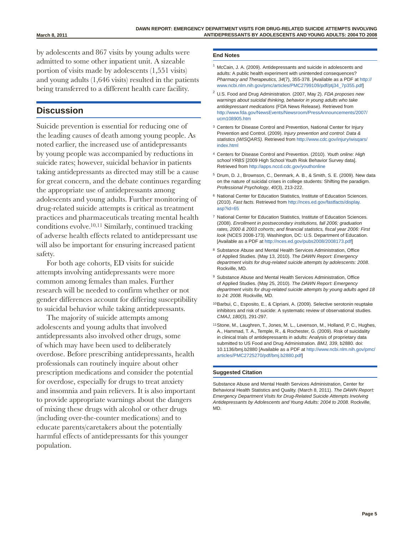by adolescents and 867 visits by young adults were admitted to some other inpatient unit. A sizeable portion of visits made by adolescents (1,551 visits) and young adults (1,646 visits) resulted in the patients being transferred to a different health care facility.

#### **Discussion**

Suicide prevention is essential for reducing one of the leading causes of death among young people. As noted earlier, the increased use of antidepressants by young people was accompanied by reductions in suicide rates; however, suicidal behavior in patients taking antidepressants as directed may still be a cause for great concern, and the debate continues regarding the appropriate use of antidepressants among adolescents and young adults. Further monitoring of drug-related suicide attempts is critical as treatment practices and pharmaceuticals treating mental health conditions evolve.10,11 Similarly, continued tracking of adverse health effects related to antidepressant use will also be important for ensuring increased patient safety.

For both age cohorts, ED visits for suicide attempts involving antidepressants were more common among females than males. Further research will be needed to confirm whether or not gender differences account for differing susceptibility to suicidal behavior while taking antidepressants.

The majority of suicide attempts among adolescents and young adults that involved antidepressants also involved other drugs, some of which may have been used to deliberately overdose. Before prescribing antidepressants, health professionals can routinely inquire about other prescription medications and consider the potential for overdose, especially for drugs to treat anxiety and insomnia and pain relievers. It is also important to provide appropriate warnings about the dangers of mixing these drugs with alcohol or other drugs (including over-the-counter medications) and to educate parents/caretakers about the potentially harmful effects of antidepressants for this younger population.

#### **End Notes**

- McCain, J. A. (2009). Antidepressants and suicide in adolescents and adults: A public health experiment with unintended consequences? Pharmacy and Therapeutics, 34(7), 355-378. [Available as a PDF at [http://](http://www.ncbi.nlm.nih.gov/pmc/articles/PMC2799109/pdf/ptj34_7p355.pdf) [www.ncbi.nlm.nih.gov/pmc/articles/PMC2799109/pdf/ptj34\\_7p355.pdf](http://www.ncbi.nlm.nih.gov/pmc/articles/PMC2799109/pdf/ptj34_7p355.pdf)]
- $2$  U.S. Food and Drug Administration. (2007, May 2). FDA proposes new warnings about suicidal thinking, behavior in young adults who take antidepressant medications (FDA News Release). Retrieved from [http://www.fda.gov/NewsEvents/Newsroom/PressAnnouncements/2007/](http://www.fda.gov/NewsEvents/Newsroom/PressAnnouncements/2007/ucm108905.htm) [ucm108905.htm](http://www.fda.gov/NewsEvents/Newsroom/PressAnnouncements/2007/ucm108905.htm)
- <sup>3</sup> Centers for Disease Control and Prevention, National Center for Injury Prevention and Control. (2009). Injury prevention and control: Data & statistics (WISQARS). Retrieved from [http://www.cdc.gov/injury/wisqars/](http://www.cdc.gov/injury/wisqars/index.html) [index.html](http://www.cdc.gov/injury/wisqars/index.html)
- <sup>4</sup> Centers for Disease Control and Prevention. (2010). Youth online: High school YRBS [2009 High School Youth Risk Behavior Survey data]. Retrieved from <http://apps.nccd.cdc.gov/youthonline>
- <sup>5</sup> Drum, D. J., Brownson, C., Denmark, A. B., & Smith, S. E. (2009). New data on the nature of suicidal crises in college students: Shifting the paradigm. Professional Psychology, 40(3), 213-222.
- <sup>6</sup> National Center for Education Statistics, Institute of Education Sciences. (2010). Fast facts. Retrieved from [http://nces.ed.gov/fastfacts/display.](http://nces.ed.gov/fastfacts/display.asp?id=65) [asp?id=65](http://nces.ed.gov/fastfacts/display.asp?id=65)
- <sup>7</sup> National Center for Education Statistics, Institute of Education Sciences. (2008). Enrollment in postsecondary institutions, fall 2006; graduation rates, 2000 & 2003 cohorts; and financial statistics, fiscal year 2006: First look (NCES 2008-173). Washington, DC: U.S. Department of Education. [Available as a PDF at <http://nces.ed.gov/pubs2008/2008173.pdf>]
- <sup>8</sup> Substance Abuse and Mental Health Services Administration, Office of Applied Studies. (May 13, 2010). The DAWN Report: Emergency department visits for drug-related suicide attempts by adolescents: 2008. Rockville, MD.
- <sup>9</sup> Substance Abuse and Mental Health Services Administration, Office of Applied Studies. (May 25, 2010). The DAWN Report: Emergency department visits for drug-related suicide attempts by young adults aged 18 to 24: 2008. Rockville, MD.
- 10Barbui, C., Esposito, E., & Cipriani, A. (2009). Selective serotonin reuptake inhibitors and risk of suicide: A systematic review of observational studies. CMAJ, 180(3), 291-297.
- 11Stone, M., Laughren, T., Jones, M. L., Levenson, M., Holland, P. C., Hughes, A., Hammad, T. A., Temple, R., & Rochester, G. (2009). Risk of suicidality in clinical trials of antidepressants in adults: Analysis of proprietary data submitted to US Food and Drug Administration. BMJ, 339, b2880. doi: 10.1136/bmj.b2880 [Available as a PDF at [http://www.ncbi.nlm.nih.gov/pmc/](http://www.ncbi.nlm.nih.gov/pmc/articles/PMC2725270/pdf/bmj.b2880.pdf]) [articles/PMC2725270/pdf/bmj.b2880.pdf\]](http://www.ncbi.nlm.nih.gov/pmc/articles/PMC2725270/pdf/bmj.b2880.pdf])

#### **Suggested Citation**

Substance Abuse and Mental Health Services Administration, Center for Behavioral Health Statistics and Quality. (March 8, 2011). The DAWN Report: Emergency Department Visits for Drug-Related Suicide Attempts Involving Antidepressants by Adolescents and Young Adults: 2004 to 2008. Rockville, MD.